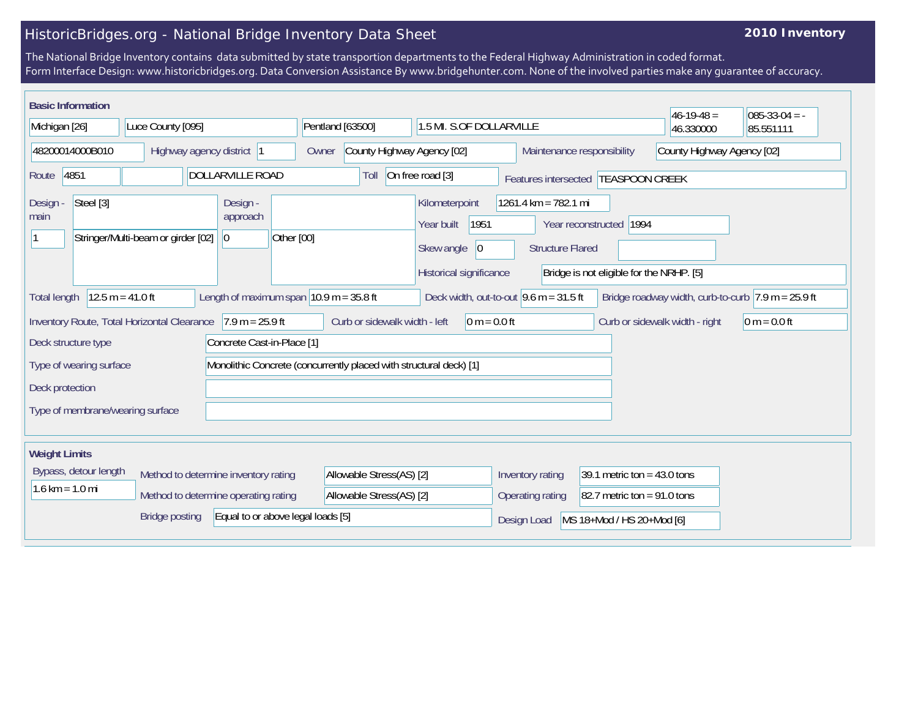## HistoricBridges.org - National Bridge Inventory Data Sheet

## **2010 Inventory**

The National Bridge Inventory contains data submitted by state transportion departments to the Federal Highway Administration in coded format. Form Interface Design: www.historicbridges.org. Data Conversion Assistance By www.bridgehunter.com. None of the involved parties make any guarantee of accuracy.

| <b>Basic Information</b>                                                                                                                                                                                                       |                                    |                                                                    |                                                          |                                                                                      |                                                                                                                        |                               | $46-19-48 =$ | $085-33-04 = -$ |
|--------------------------------------------------------------------------------------------------------------------------------------------------------------------------------------------------------------------------------|------------------------------------|--------------------------------------------------------------------|----------------------------------------------------------|--------------------------------------------------------------------------------------|------------------------------------------------------------------------------------------------------------------------|-------------------------------|--------------|-----------------|
| Michigan [26]<br>Luce County [095]                                                                                                                                                                                             |                                    | Pentland [63500]<br>1.5 MI. S.OF DOLLARVILLE                       |                                                          |                                                                                      | 46.330000                                                                                                              | 85.551111                     |              |                 |
| 48200014000B010<br>Highway agency district  1                                                                                                                                                                                  |                                    | Owner                                                              | County Highway Agency [02]<br>Maintenance responsibility |                                                                                      |                                                                                                                        | County Highway Agency [02]    |              |                 |
| 4851<br>DOLLARVILLE ROAD<br>Route                                                                                                                                                                                              |                                    |                                                                    | Toll                                                     | On free road [3]                                                                     | Features intersected  TEASPOON CREEK                                                                                   |                               |              |                 |
| Steel [3]<br>Design -<br>main                                                                                                                                                                                                  | Stringer/Multi-beam or girder [02] | Design -<br>approach<br>Other [00]<br> 0                           |                                                          | Kilometerpoint<br>1951<br>Year built<br>Skew angle<br> 0 <br>Historical significance | 1261.4 km = 782.1 mi<br>Year reconstructed 1994<br><b>Structure Flared</b><br>Bridge is not eligible for the NRHP. [5] |                               |              |                 |
| $12.5 m = 41.0 ft$<br>Length of maximum span $10.9$ m = 35.8 ft<br>Bridge roadway width, curb-to-curb $ 7.9 \text{ m} = 25.9 \text{ ft} $<br>Deck width, out-to-out $ 9.6 \text{ m} = 31.5 \text{ ft} $<br><b>Total length</b> |                                    |                                                                    |                                                          |                                                                                      |                                                                                                                        |                               |              |                 |
| Inventory Route, Total Horizontal Clearance 7.9 m = 25.9 ft<br>Curb or sidewalk width - left<br>$0 m = 0.0 ft$<br>Curb or sidewalk width - right<br>$0 m = 0.0 ft$                                                             |                                    |                                                                    |                                                          |                                                                                      |                                                                                                                        |                               |              |                 |
| Deck structure type                                                                                                                                                                                                            |                                    | Concrete Cast-in-Place [1]                                         |                                                          |                                                                                      |                                                                                                                        |                               |              |                 |
| Type of wearing surface                                                                                                                                                                                                        |                                    | Monolithic Concrete (concurrently placed with structural deck) [1] |                                                          |                                                                                      |                                                                                                                        |                               |              |                 |
| Deck protection                                                                                                                                                                                                                |                                    |                                                                    |                                                          |                                                                                      |                                                                                                                        |                               |              |                 |
| Type of membrane/wearing surface                                                                                                                                                                                               |                                    |                                                                    |                                                          |                                                                                      |                                                                                                                        |                               |              |                 |
| <b>Weight Limits</b>                                                                                                                                                                                                           |                                    |                                                                    |                                                          |                                                                                      |                                                                                                                        |                               |              |                 |
| Bypass, detour length<br>Method to determine inventory rating                                                                                                                                                                  |                                    |                                                                    | Allowable Stress(AS) [2]                                 |                                                                                      | Inventory rating                                                                                                       | 39.1 metric ton = $43.0$ tons |              |                 |
| $1.6 \text{ km} = 1.0 \text{ mi}$<br>Method to determine operating rating                                                                                                                                                      |                                    |                                                                    | Allowable Stress(AS) [2]                                 |                                                                                      | Operating rating<br>82.7 metric ton = $91.0$ tons                                                                      |                               |              |                 |
| Equal to or above legal loads [5]<br><b>Bridge posting</b>                                                                                                                                                                     |                                    |                                                                    |                                                          | Design Load                                                                          | MS 18+Mod / HS 20+Mod [6]                                                                                              |                               |              |                 |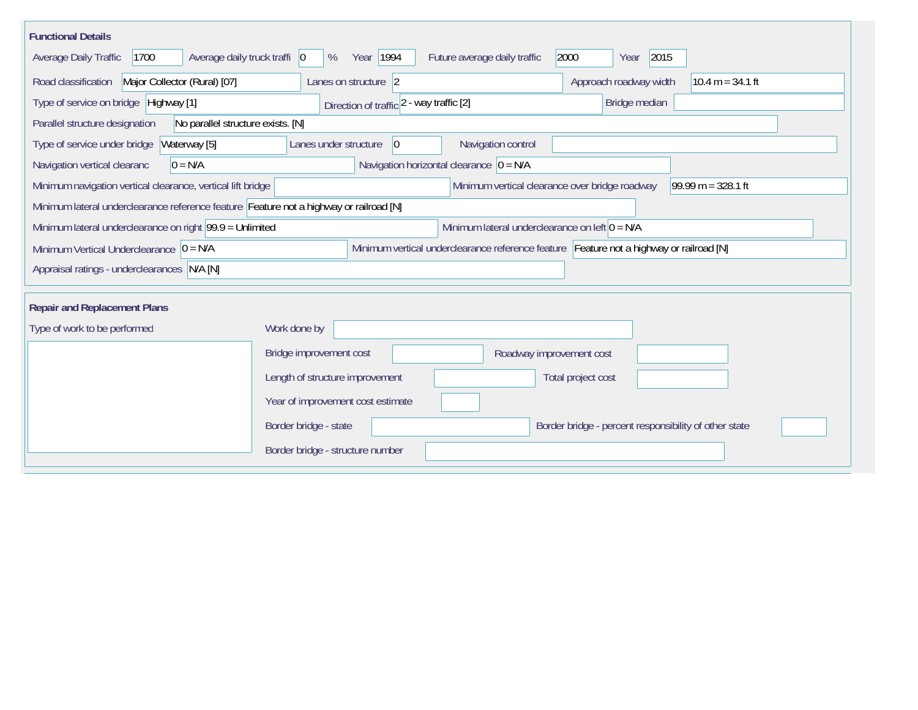| <b>Functional Details</b>                                                                                                               |                                                                                                                                       |                                              |  |  |  |  |  |  |  |
|-----------------------------------------------------------------------------------------------------------------------------------------|---------------------------------------------------------------------------------------------------------------------------------------|----------------------------------------------|--|--|--|--|--|--|--|
| Average daily truck traffi 0<br>Year 1994<br>2000<br>2015<br>1700<br>Future average daily traffic<br>Average Daily Traffic<br>%<br>Year |                                                                                                                                       |                                              |  |  |  |  |  |  |  |
| Road classification<br>Major Collector (Rural) [07]                                                                                     | Lanes on structure 2                                                                                                                  | Approach roadway width<br>$10.4 m = 34.1 ft$ |  |  |  |  |  |  |  |
| Type of service on bridge Highway [1]                                                                                                   | Direction of traffic 2 - way traffic [2]                                                                                              | Bridge median                                |  |  |  |  |  |  |  |
| No parallel structure exists. [N]<br>Parallel structure designation                                                                     |                                                                                                                                       |                                              |  |  |  |  |  |  |  |
| Type of service under bridge<br>Waterway [5]                                                                                            | $ 0\rangle$<br>Navigation control<br>Lanes under structure                                                                            |                                              |  |  |  |  |  |  |  |
| Navigation horizontal clearance $ 0 = N/A $<br>Navigation vertical clearanc<br>$0 = N/A$                                                |                                                                                                                                       |                                              |  |  |  |  |  |  |  |
|                                                                                                                                         | Minimum navigation vertical clearance, vertical lift bridge<br>Minimum vertical clearance over bridge roadway<br>99.99 m = $328.1$ ft |                                              |  |  |  |  |  |  |  |
| Minimum lateral underclearance reference feature Feature not a highway or railroad [N]                                                  |                                                                                                                                       |                                              |  |  |  |  |  |  |  |
| Minimum lateral underclearance on left $0 = N/A$<br>Minimum lateral underclearance on right 99.9 = Unlimited                            |                                                                                                                                       |                                              |  |  |  |  |  |  |  |
| Minimum vertical underclearance reference feature Feature not a highway or railroad [N]<br>Minimum Vertical Underclearance $ 0 = N/A$   |                                                                                                                                       |                                              |  |  |  |  |  |  |  |
| Appraisal ratings - underclearances N/A [N]                                                                                             |                                                                                                                                       |                                              |  |  |  |  |  |  |  |
|                                                                                                                                         |                                                                                                                                       |                                              |  |  |  |  |  |  |  |
| <b>Repair and Replacement Plans</b>                                                                                                     |                                                                                                                                       |                                              |  |  |  |  |  |  |  |
| Work done by<br>Type of work to be performed                                                                                            |                                                                                                                                       |                                              |  |  |  |  |  |  |  |
|                                                                                                                                         | Bridge improvement cost<br>Roadway improvement cost                                                                                   |                                              |  |  |  |  |  |  |  |
|                                                                                                                                         | Length of structure improvement                                                                                                       | Total project cost                           |  |  |  |  |  |  |  |
|                                                                                                                                         | Year of improvement cost estimate                                                                                                     |                                              |  |  |  |  |  |  |  |
|                                                                                                                                         | Border bridge - state<br>Border bridge - percent responsibility of other state                                                        |                                              |  |  |  |  |  |  |  |
|                                                                                                                                         | Border bridge - structure number                                                                                                      |                                              |  |  |  |  |  |  |  |